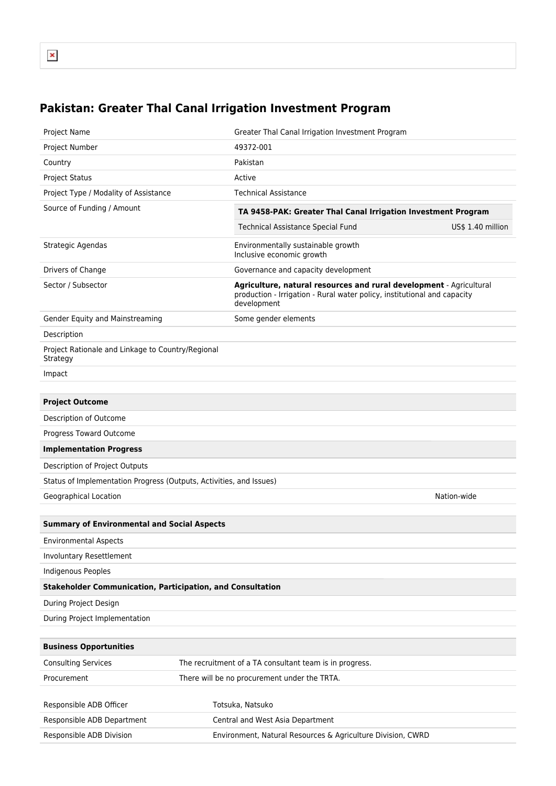## **Pakistan: Greater Thal Canal Irrigation Investment Program**

| Project Name                                                        | Greater Thal Canal Irrigation Investment Program                                                                                                               |  |  |  |  |  |
|---------------------------------------------------------------------|----------------------------------------------------------------------------------------------------------------------------------------------------------------|--|--|--|--|--|
| Project Number                                                      | 49372-001                                                                                                                                                      |  |  |  |  |  |
| Country                                                             | Pakistan                                                                                                                                                       |  |  |  |  |  |
| <b>Project Status</b>                                               | Active                                                                                                                                                         |  |  |  |  |  |
| Project Type / Modality of Assistance                               | <b>Technical Assistance</b>                                                                                                                                    |  |  |  |  |  |
| Source of Funding / Amount                                          | TA 9458-PAK: Greater Thal Canal Irrigation Investment Program                                                                                                  |  |  |  |  |  |
|                                                                     | Technical Assistance Special Fund<br>US\$ 1.40 million                                                                                                         |  |  |  |  |  |
| Strategic Agendas                                                   | Environmentally sustainable growth<br>Inclusive economic growth                                                                                                |  |  |  |  |  |
| Drivers of Change                                                   | Governance and capacity development                                                                                                                            |  |  |  |  |  |
| Sector / Subsector                                                  | Agriculture, natural resources and rural development - Agricultural<br>production - Irrigation - Rural water policy, institutional and capacity<br>development |  |  |  |  |  |
| Gender Equity and Mainstreaming                                     | Some gender elements                                                                                                                                           |  |  |  |  |  |
| Description                                                         |                                                                                                                                                                |  |  |  |  |  |
| Project Rationale and Linkage to Country/Regional<br>Strategy       |                                                                                                                                                                |  |  |  |  |  |
| Impact                                                              |                                                                                                                                                                |  |  |  |  |  |
|                                                                     |                                                                                                                                                                |  |  |  |  |  |
| <b>Project Outcome</b>                                              |                                                                                                                                                                |  |  |  |  |  |
| Description of Outcome                                              |                                                                                                                                                                |  |  |  |  |  |
| Progress Toward Outcome                                             |                                                                                                                                                                |  |  |  |  |  |
| <b>Implementation Progress</b>                                      |                                                                                                                                                                |  |  |  |  |  |
| Description of Project Outputs                                      |                                                                                                                                                                |  |  |  |  |  |
| Status of Implementation Progress (Outputs, Activities, and Issues) |                                                                                                                                                                |  |  |  |  |  |
| Geographical Location                                               | Nation-wide                                                                                                                                                    |  |  |  |  |  |
|                                                                     |                                                                                                                                                                |  |  |  |  |  |
| <b>Summary of Environmental and Social Aspects</b>                  |                                                                                                                                                                |  |  |  |  |  |
| <b>Environmental Aspects</b>                                        |                                                                                                                                                                |  |  |  |  |  |
| Involuntary Resettlement                                            |                                                                                                                                                                |  |  |  |  |  |
| <b>Indigenous Peoples</b>                                           |                                                                                                                                                                |  |  |  |  |  |
| <b>Stakeholder Communication, Participation, and Consultation</b>   |                                                                                                                                                                |  |  |  |  |  |
| During Project Design                                               |                                                                                                                                                                |  |  |  |  |  |
| During Project Implementation                                       |                                                                                                                                                                |  |  |  |  |  |
|                                                                     |                                                                                                                                                                |  |  |  |  |  |
| <b>Business Opportunities</b>                                       |                                                                                                                                                                |  |  |  |  |  |
| <b>Consulting Services</b>                                          | The recruitment of a TA consultant team is in progress.                                                                                                        |  |  |  |  |  |
| Procurement                                                         | There will be no procurement under the TRTA.                                                                                                                   |  |  |  |  |  |
|                                                                     |                                                                                                                                                                |  |  |  |  |  |
| Responsible ADB Officer                                             | Totsuka, Natsuko                                                                                                                                               |  |  |  |  |  |
| Responsible ADB Department                                          | Central and West Asia Department                                                                                                                               |  |  |  |  |  |
| Responsible ADB Division                                            | Environment, Natural Resources & Agriculture Division, CWRD                                                                                                    |  |  |  |  |  |